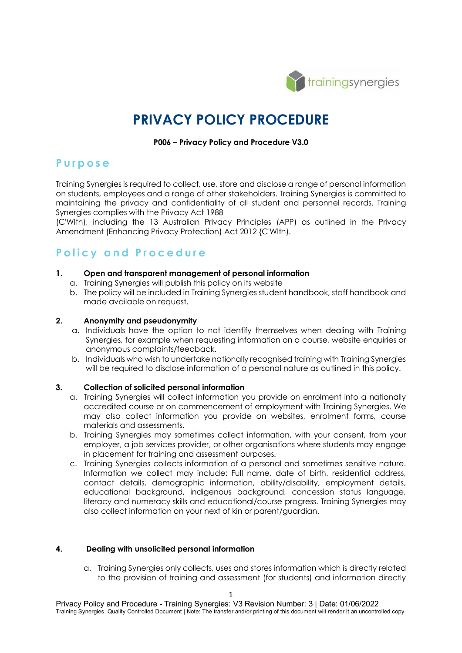

# **PRIVACY POLICY PROCEDURE**

#### **P006 – Privacy Policy and Procedure V3.0**

### **Purpose**

Training Synergies is required to collect, use, store and disclose a range of personal information on students, employees and a range of other stakeholders. Training Synergies is committed to maintaining the privacy and confidentiality of all student and personnel records. Training Synergies complies with the Privacy Act 1988

(C'Wlth), including the 13 Australian Privacy Principles (APP) as outlined in the Privacy Amendment (Enhancing Privacy Protection) Act 2012 {C'Wlth).

## **Policy and Procedure**

#### **1. Open and transparent management of personal information**

- a. Training Synergies will publish this policy on its website
- b. The policy will be included in Training Synergies student handbook, staff handbook and made available on request.

#### **2. Anonymity and pseudonymity**

- a. Individuals have the option to not identify themselves when dealing with Training Synergies, for example when requesting information on a course, website enquiries or anonymous complaints/feedback.
- b. Individuals who wish to undertake nationally recognised training with Training Synergies will be required to disclose information of a personal nature as outlined in this policy.

#### **3. Collection of solicited personal information**

- a. Training Synergies will collect information you provide on enrolment into a nationally accredited course or on commencement of employment with Training Synergies. We may also collect information you provide on websites, enrolment forms, course materials and assessments.
- b. Training Synergies may sometimes collect information, with your consent, from your employer, a job services provider, or other organisations where students may engage in placement for training and assessment purposes.
- c. Training Synergies collects information of a personal and sometimes sensitive nature. Information we collect may include: Full name, date of birth, residential address, contact details, demographic information, ability/disability, employment details, educational background, indigenous background, concession status language, literacy and numeracy skills and educational/course progress. Training Synergies may also collect information on your next of kin or parent/guardian.

#### **4. Dealing with unsolicited personal information**

a. Training Synergies only collects, uses and stores information which is directly related to the provision of training and assessment (for students) and information directly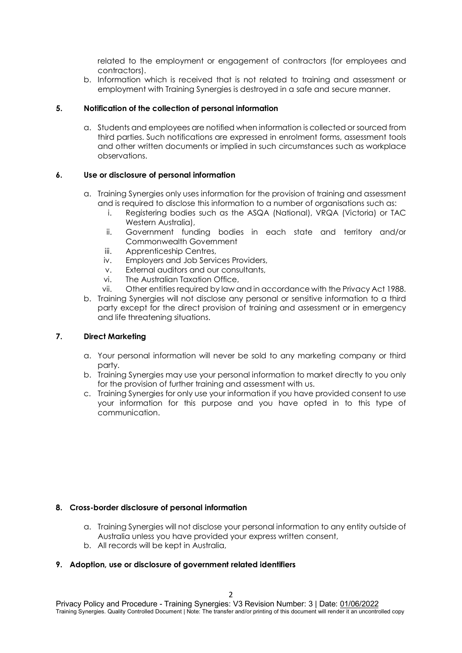related to the employment or engagement of contractors (for employees and contractors).

b. Information which is received that is not related to training and assessment or employment with Training Synergies is destroyed in a safe and secure manner.

#### **5. Notification of the collection of personal information**

a. Students and employees are notified when information is collected or sourced from third parties. Such notifications are expressed in enrolment forms, assessment tools and other written documents or implied in such circumstances such as workplace observations.

#### **6. Use or disclosure of personal information**

- a. Training Synergies only uses information for the provision of training and assessment and is required to disclose this information to a number of organisations such as:
	- i. Registering bodies such as the ASQA (National), VRQA (Victoria) or TAC Western Australia),
	- ii. Government funding bodies in each state and territory and/or Commonwealth Government
	- iii. Apprenticeship Centres,
	- iv. Employers and Job Services Providers,
	- v. External auditors and our consultants,
	- vi. The Australian Taxation Office,
	- vii. Other entities required by law and in accordance with the Privacy Act 1988.
- b. Training Synergies will not disclose any personal or sensitive information to a third party except for the direct provision of training and assessment or in emergency and life threatening situations.

#### **7. Direct Marketing**

- a. Your personal information will never be sold to any marketing company or third party.
- b. Training Synergies may use your personal information to market directly to you only for the provision of further training and assessment with us.
- c. Training Synergies for only use your information if you have provided consent to use your information for this purpose and you have opted in to this type of communication.

#### **8. Cross-border disclosure of personal information**

- a. Training Synergies will not disclose your personal information to any entity outside of Australia unless you have provided your express written consent,
- b. All records will be kept in Australia,

#### **9. Adoption, use or disclosure of government related identifiers**